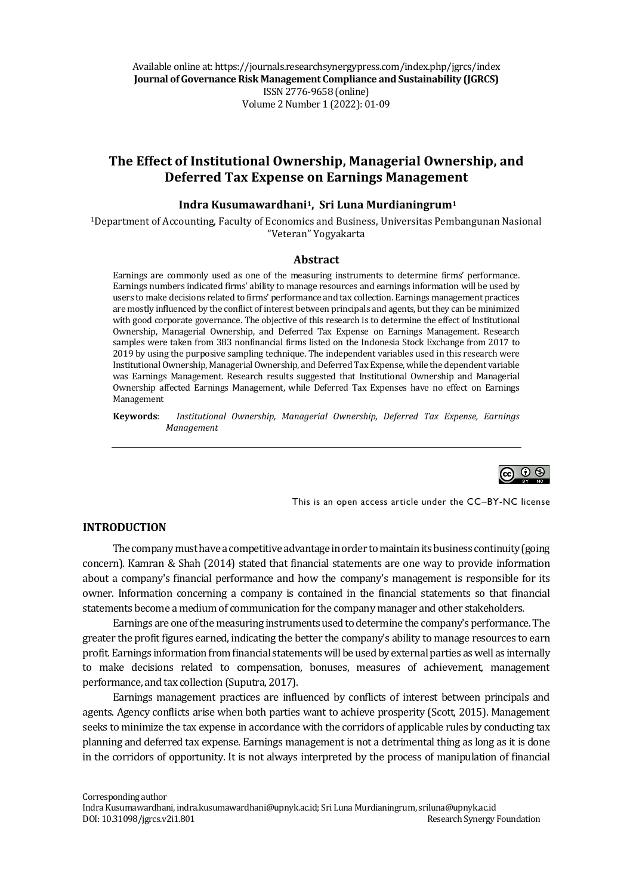Available online at: https://journals.researchsynergypress.com/index.php/jgrcs/index **Journal of Governance Risk Management Compliance and Sustainability (JGRCS)** ISSN 2776-9658 (online) Volume 2Number 1 (2022): 01-09

# **The Effect of Institutional Ownership, Managerial Ownership, and Deferred Tax Expense on Earnings Management**

#### **Indra Kusumawardhani1, Sri Luna Murdianingrum<sup>1</sup>**

<sup>1</sup>Department of Accounting, Faculty of Economics and Business, Universitas Pembangunan Nasional "Veteran" Yogyakarta

#### **Abstract**

Earnings are commonly used as one of the measuring instruments to determine firms' performance. Earnings numbers indicated firms' ability to manage resources and earnings information will be used by users to make decisions related to firms' performance and tax collection. Earnings management practices are mostly influenced by the conflict of interest between principals and agents, but they can be minimized with good corporate governance. The objective of this research is to determine the effect of Institutional Ownership, Managerial Ownership, and Deferred Tax Expense on Earnings Management. Research samples were taken from 383 nonfinancial firms listed on the Indonesia Stock Exchange from 2017 to 2019 by using the purposive sampling technique. The independent variables used in this research were Institutional Ownership, Managerial Ownership, and Deferred Tax Expense, while the dependent variable was Earnings Management. Research results suggested that Institutional Ownership and Managerial Ownership affected Earnings Management, while Deferred Tax Expenses have no effect on Earnings Management

**Keywords**: *Institutional Ownership, Managerial Ownership, Deferred Tax Expense, Earnings Management*



This is an open access article under the CC–BY-NC license

#### **INTRODUCTION**

The company must have a competitive advantage in order to maintain its business continuity (going concern). Kamran & Shah (2014) stated that financial statements are one way to provide information about a company's financial performance and how the company's management is responsible for its owner. Information concerning a company is contained in the financial statements so that financial statements become a medium of communication for the company manager and other stakeholders.

Earnings are one of the measuring instruments used to determine the company's performance. The greater the profit figures earned, indicating the better the company's ability to manage resources to earn profit. Earnings information from financial statements will be used by external parties as well as internally to make decisions related to compensation, bonuses, measures of achievement, management performance, and tax collection (Suputra, 2017).

Earnings management practices are influenced by conflicts of interest between principals and agents. Agency conflicts arise when both parties want to achieve prosperity (Scott, 2015). Management seeks to minimize the tax expense in accordance with the corridors of applicable rules by conducting tax planning and deferred tax expense. Earnings management is not a detrimental thing as long as it is done in the corridors of opportunity. It is not always interpreted by the process of manipulation of financial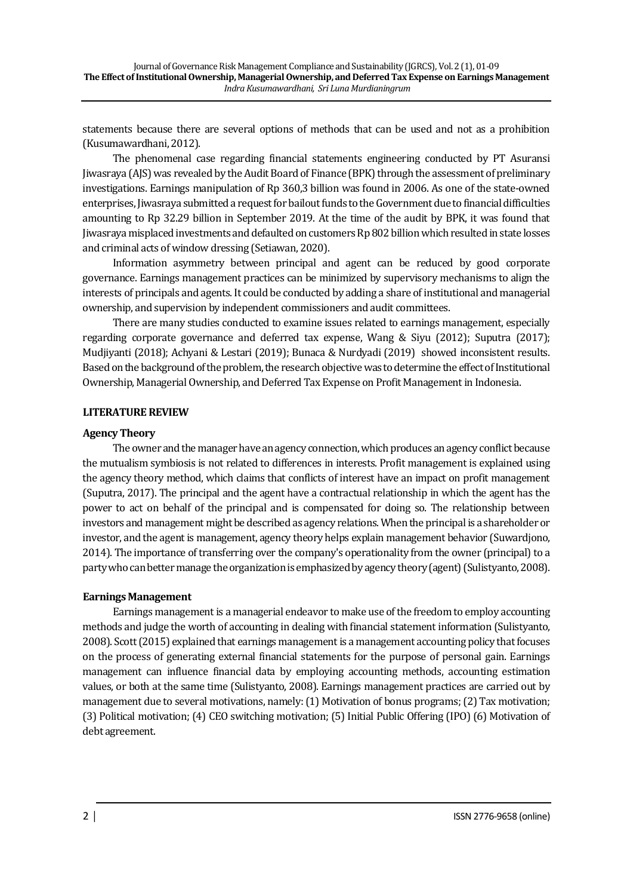statements because there are several options of methods that can be used and not as a prohibition (Kusumawardhani, 2012).

The phenomenal case regarding financial statements engineering conducted by PT Asuransi Jiwasraya (AJS) was revealed by the Audit Board of Finance (BPK) through the assessment of preliminary investigations. Earnings manipulation of Rp 360,3 billion was found in 2006. As one of the state-owned enterprises, Jiwasraya submitted a request for bailout funds to the Government due to financial difficulties amounting to Rp 32.29 billion in September 2019. At the time of the audit by BPK, it was found that Jiwasraya misplaced investments and defaulted on customers Rp 802 billion which resulted in state losses and criminal acts of window dressing (Setiawan, 2020).

Information asymmetry between principal and agent can be reduced by good corporate governance. Earnings management practices can be minimized by supervisory mechanisms to align the interests of principals and agents. It could be conducted by adding a share of institutional and managerial ownership, and supervision by independent commissioners and audit committees.

There are many studies conducted to examine issues related to earnings management, especially regarding corporate governance and deferred tax expense, Wang & Siyu (2012); Suputra (2017); Mudjiyanti (2018); Achyani & Lestari (2019); Bunaca & Nurdyadi (2019) showed inconsistent results. Based on the background of the problem, the research objective was to determine the effect of Institutional Ownership, Managerial Ownership, and Deferred Tax Expense on Profit Management in Indonesia.

### **LITERATURE REVIEW**

### **Agency Theory**

The owner and the manager have an agency connection, which produces an agency conflict because the mutualism symbiosis is not related to differences in interests. Profit management is explained using the agency theory method, which claims that conflicts of interest have an impact on profit management (Suputra, 2017). The principal and the agent have a contractual relationship in which the agent has the power to act on behalf of the principal and is compensated for doing so. The relationship between investors and management might be described as agency relations. When the principal is a shareholder or investor, and the agent is management, agency theory helps explain management behavior (Suwardjono, 2014). The importance of transferring over the company's operationality from the owner (principal) to a party who can better manage the organization is emphasized by agency theory (agent) (Sulistyanto, 2008).

## **Earnings Management**

Earnings management is a managerial endeavor to make use of the freedom to employ accounting methods and judge the worth of accounting in dealing with financial statement information (Sulistyanto, 2008). Scott (2015) explained that earnings management is a management accounting policy that focuses on the process of generating external financial statements for the purpose of personal gain. Earnings management can influence financial data by employing accounting methods, accounting estimation values, or both at the same time (Sulistyanto, 2008). Earnings management practices are carried out by management due to several motivations, namely: (1) Motivation of bonus programs; (2) Tax motivation; (3) Political motivation; (4) CEO switching motivation; (5) Initial Public Offering (IPO) (6) Motivation of debt agreement.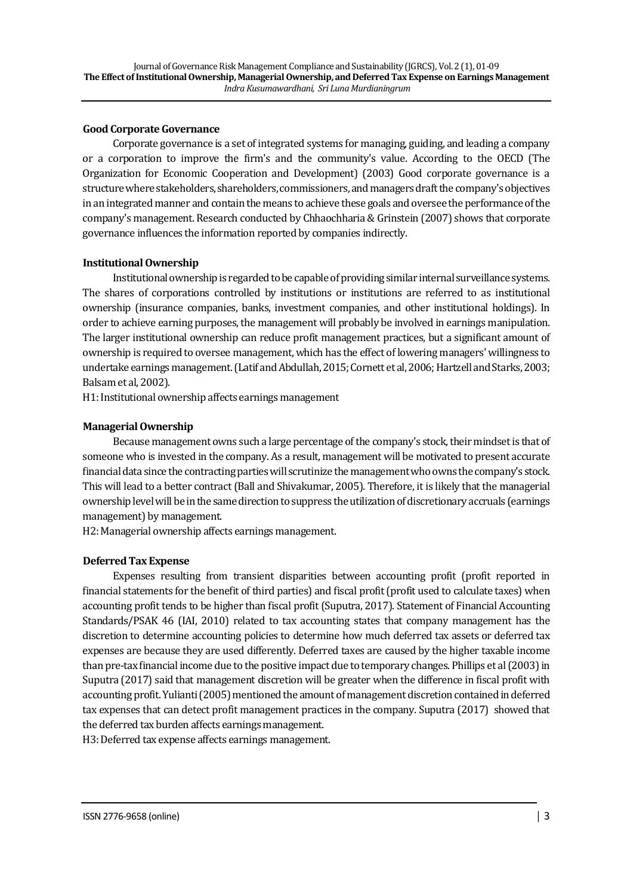### **Good Corporate Governance**

Corporate governance is a set of integrated systems for managing, guiding, and leading a company or a corporation to improve the firm's and the community's value. According to the OECD (The Organization for Economic Cooperation and Development) (2003) Good corporate governance is a structure where stakeholders, shareholders, commissioners, and managers draft the company's objectives in an integrated manner and contain the means to achieve these goals and oversee the performance of the company's management. Research conducted by Chhaochharia & Grinstein (2007) shows that corporate governance influences the information reported by companies indirectly.

### **Institutional Ownership**

Institutional ownership is regarded to be capable of providing similar internal surveillance systems. The shares of corporations controlled by institutions or institutions are referred to as institutional ownership (insurance companies, banks, investment companies, and other institutional holdings). In order to achieve earning purposes, the management will probably be involved in earnings manipulation. The larger institutional ownership can reduce profit management practices, but a significant amount of ownership is required to oversee management, which has the effect of lowering managers' willingness to undertake earnings management. (Latif and Abdullah, 2015; Cornett et al, 2006; Hartzell and Starks, 2003; Balsam et al, 2002).

H1: Institutional ownership affects earnings management

## **Managerial Ownership**

Because management owns such a large percentage of the company's stock, their mindset is that of someone who is invested in the company. As a result, management will be motivated to present accurate financial data since the contracting parties will scrutinize the management who owns the company's stock. This will lead to a better contract (Ball and Shivakumar, 2005). Therefore, it is likely that the managerial ownership level will be in the same direction to suppress the utilization of discretionary accruals (earnings management) by management.

H2: Managerial ownership affects earnings management.

## **Deferred Tax Expense**

Expenses resulting from transient disparities between accounting profit (profit reported in financial statements for the benefit of third parties) and fiscal profit (profit used to calculate taxes) when accounting profit tends to be higher than fiscal profit (Suputra, 2017). Statement of Financial Accounting Standards/PSAK 46 (IAI, 2010) related to tax accounting states that company management has the discretion to determine accounting policies to determine how much deferred tax assets or deferred tax expenses are because they are used differently. Deferred taxes are caused by the higher taxable income than pre-tax financial income due to the positive impact due to temporary changes. Phillips et al (2003) in Suputra (2017) said that management discretion will be greater when the difference in fiscal profit with accountingprofit. Yulianti (2005) mentioned the amount of management discretion contained in deferred tax expenses that can detect profit management practices in the company. Suputra (2017) showed that the deferred tax burden affects earnings management.

H3: Deferred tax expense affects earnings management.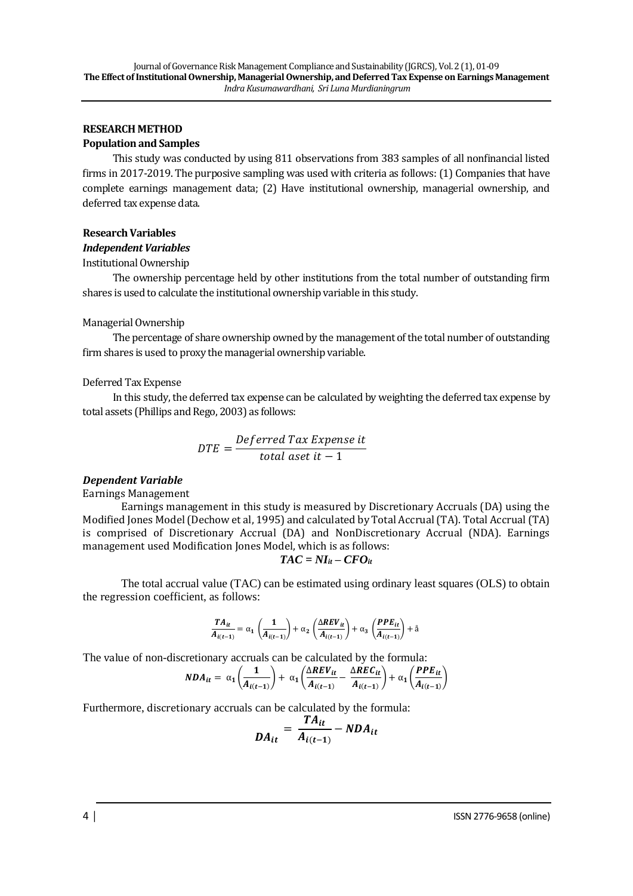### **RESEARCH METHOD**

#### **Population and Samples**

This study was conducted by using 811 observations from 383 samples of all nonfinancial listed firms in 2017-2019. The purposive sampling was used with criteria as follows: (1) Companies that have complete earnings management data; (2) Have institutional ownership, managerial ownership, and deferred tax expense data.

#### **Research Variables**

#### *Independent Variables*

Institutional Ownership

The ownership percentage held by other institutions from the total number of outstanding firm shares is used to calculate the institutional ownership variable in this study.

#### Managerial Ownership

The percentage of share ownership owned by the management of the total number of outstanding firm shares is used to proxy the managerial ownership variable.

#### Deferred Tax Expense

In this study, the deferred tax expense can be calculated by weighting the deferred tax expense by total assets (Phillips and Rego, 2003) as follows:

$$
DTE = \frac{Deferred\ Tax\ Expense\ it}{total\ aset\ it - 1}
$$

### *Dependent Variable*

Earnings Management

Earnings management in this study is measured by Discretionary Accruals (DA) using the Modified Jones Model (Dechow et al, 1995) and calculated by Total Accrual (TA). Total Accrual (TA) is comprised of Discretionary Accrual (DA) and NonDiscretionary Accrual (NDA). Earnings management used Modification Jones Model, which is as follows:

$$
TAC = NI_{it} - CFO_{it}
$$

The total accrual value (TAC) can be estimated using ordinary least squares (OLS) to obtain the regression coefficient, as follows:

$$
\frac{TA_{it}}{A_{i(t-1)}} = \alpha_1\left(\frac{1}{A_{i(t-1)}}\right) + \alpha_2\left(\frac{\Delta REV_{it}}{A_{i(t-1)}}\right) + \alpha_3\left(\frac{PPE_{it}}{A_{i(t-1)}}\right) + \mathring{a}
$$

The value of non-discretionary accruals can be calculated by the formula:

$$
NDA_{it} = \alpha_1 \left(\frac{1}{A_{i(t-1)}}\right) + \alpha_1 \left(\frac{\Delta REV_{it}}{A_{i(t-1)}} - \frac{\Delta REC_{it}}{A_{i(t-1)}}\right) + \alpha_1 \left(\frac{PPE_{it}}{A_{i(t-1)}}\right)
$$

Furthermore, discretionary accruals can be calculated by the formula:

$$
DA_{it} = \frac{TA_{it}}{A_{i(t-1)}} - NDA_{it}
$$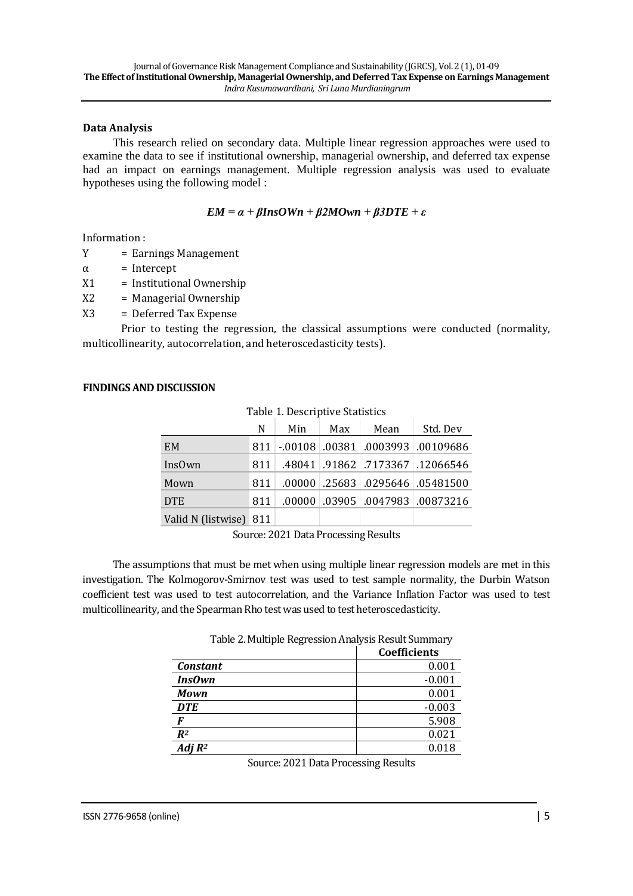### **Data Analysis**

This research relied on secondary data. Multiple linear regression approaches were used to examine the data to see if institutional ownership, managerial ownership, and deferred tax expense had an impact on earnings management. Multiple regression analysis was used to evaluate hypotheses using the following model :

$$
EM = \alpha + \beta InsOWn + \beta 2M Own + \beta 3DTE + \varepsilon
$$

Information :

Y = Earnings Management

 $\alpha$  = Intercept

X1 = Institutional Ownership

X2 = Managerial Ownership

X3 = Deferred Tax Expense

Prior to testing the regression, the classical assumptions were conducted (normality, multicollinearity, autocorrelation, and heteroscedasticity tests).

### **FINDINGS AND DISCUSSION**

|                        | N   | Min | Max | Mean | Std. Dev                              |
|------------------------|-----|-----|-----|------|---------------------------------------|
| EM                     |     |     |     |      | 811 -.00108 .00381 .0003993 .00109686 |
| InsOwn                 | 811 |     |     |      | .48041 .91862 .7173367 .12066546      |
| Mown                   | 811 |     |     |      | .00000 .25683 .0295646 .05481500      |
| <b>DTE</b>             | 811 |     |     |      | .00873216 0047983. 00000. 00000.      |
| Valid N (listwise) 811 |     |     |     |      |                                       |

Table 1. Descriptive Statistics

Source: 2021 Data Processing Results

The assumptions that must be met when using multiple linear regression models are met in this investigation. The Kolmogorov-Smirnov test was used to test sample normality, the Durbin Watson coefficient test was used to test autocorrelation, and the Variance Inflation Factor was used to test multicollinearity, and the Spearman Rho test was used to test heteroscedasticity.

|                 | Coefficients |
|-----------------|--------------|
| <b>Constant</b> | 0.001        |
| <b>InsOwn</b>   | $-0.001$     |
| <b>Mown</b>     | 0.001        |
| <b>DTE</b>      | $-0.003$     |
| F               | 5.908        |
| $R^2$           | 0.021        |
| Adj $R^2$       | 0.018        |

Source: 2021 Data Processing Results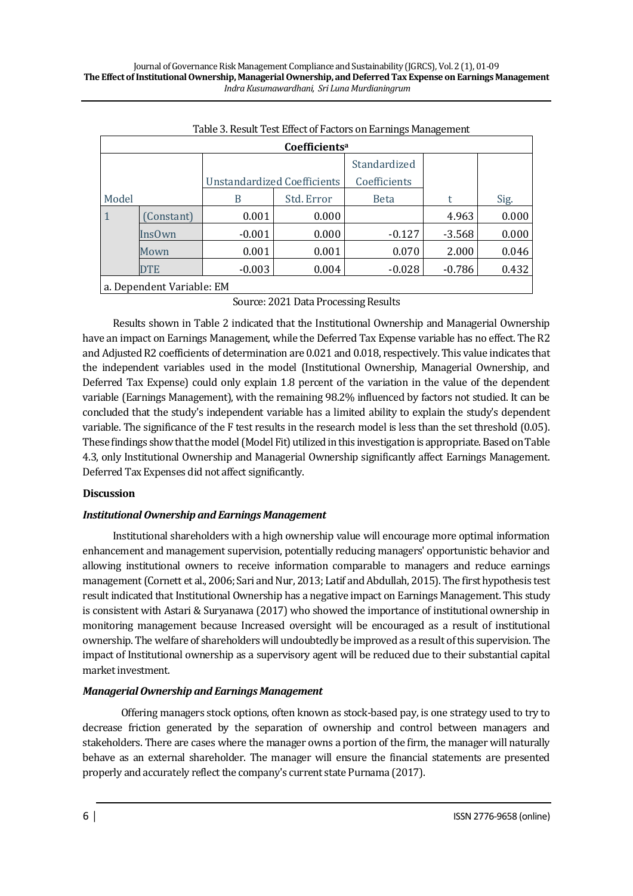| ◡-<br>- ت<br>Coefficients <sup>a</sup> |               |                             |            |              |          |       |  |  |  |  |
|----------------------------------------|---------------|-----------------------------|------------|--------------|----------|-------|--|--|--|--|
|                                        |               |                             |            | Standardized |          |       |  |  |  |  |
|                                        |               | Unstandardized Coefficients |            | Coefficients |          |       |  |  |  |  |
| Model                                  |               | B                           | Std. Error | <b>Beta</b>  | t        | Sig.  |  |  |  |  |
| $\mathbf{1}$                           | Constant)     | 0.001                       | 0.000      |              | 4.963    | 0.000 |  |  |  |  |
|                                        | <b>InsOwn</b> | $-0.001$                    | 0.000      | $-0.127$     | $-3.568$ | 0.000 |  |  |  |  |
|                                        | Mown          | 0.001                       | 0.001      | 0.070        | 2.000    | 0.046 |  |  |  |  |
|                                        | <b>DTE</b>    | $-0.003$                    | 0.004      | $-0.028$     | $-0.786$ | 0.432 |  |  |  |  |
| a. Denendent Variable: EM              |               |                             |            |              |          |       |  |  |  |  |

a. Dependent Variable: EM

Source: 2021 Data Processing Results

Results shown in Table 2 indicated that the Institutional Ownership and Managerial Ownership have an impact on Earnings Management, while the Deferred Tax Expense variable has no effect. The R2 and Adjusted R2 coefficients of determination are 0.021 and 0.018, respectively. This value indicates that the independent variables used in the model (Institutional Ownership, Managerial Ownership, and Deferred Tax Expense) could only explain 1.8 percent of the variation in the value of the dependent variable (Earnings Management), with the remaining 98.2% influenced by factors not studied. It can be concluded that the study's independent variable has a limited ability to explain the study's dependent variable. The significance of the F test results in the research model is less than the set threshold (0.05). These findings show that the model (Model Fit) utilized in this investigation is appropriate. Based on Table 4.3, only Institutional Ownership and Managerial Ownership significantly affect Earnings Management. Deferred Tax Expenses did not affect significantly.

## **Discussion**

## *Institutional Ownership and Earnings Management*

Institutional shareholders with a high ownership value will encourage more optimal information enhancement and management supervision, potentially reducing managers' opportunistic behavior and allowing institutional owners to receive information comparable to managers and reduce earnings management (Cornett et al., 2006; Sari and Nur, 2013; Latif and Abdullah, 2015). The first hypothesis test result indicated that Institutional Ownership has a negative impact on Earnings Management. This study is consistent with Astari & Suryanawa (2017) who showed the importance of institutional ownership in monitoring management because Increased oversight will be encouraged as a result of institutional ownership. The welfare of shareholders will undoubtedly be improved as a result of this supervision. The impact of Institutional ownership as a supervisory agent will be reduced due to their substantial capital market investment.

## *Managerial Ownership and Earnings Management*

Offering managers stock options, often known as stock-based pay, is one strategy used to try to decrease friction generated by the separation of ownership and control between managers and stakeholders. There are cases where the manager owns a portion of the firm, the manager will naturally behave as an external shareholder. The manager will ensure the financial statements are presented properly and accurately reflect the company's current state Purnama (2017).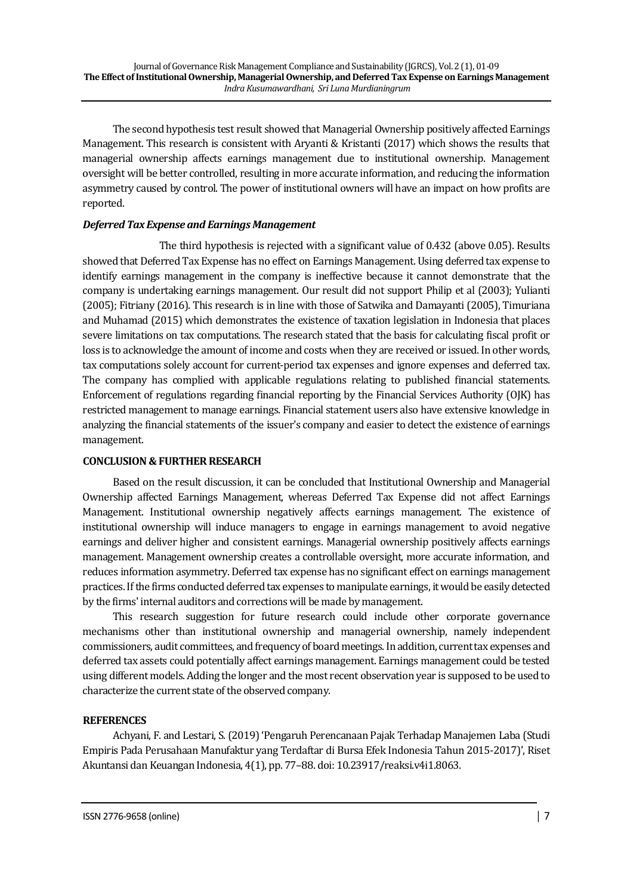The second hypothesis test result showed that Managerial Ownership positively affected Earnings Management. This research is consistent with Aryanti & Kristanti (2017) which shows the results that managerial ownership affects earnings management due to institutional ownership. Management oversight will be better controlled, resulting in more accurate information, and reducing the information asymmetry caused by control. The power of institutional owners will have an impact on how profits are reported.

# *Deferred Tax Expense and Earnings Management*

The third hypothesis is rejected with a significant value of 0.432 (above 0.05). Results showed that Deferred Tax Expense has no effect on Earnings Management. Using deferred tax expense to identify earnings management in the company is ineffective because it cannot demonstrate that the company is undertaking earnings management. Our result did not support Philip et al (2003); Yulianti (2005); Fitriany (2016). This research is in line with those of Satwika and Damayanti (2005), Timuriana and Muhamad (2015) which demonstrates the existence of taxation legislation in Indonesia that places severe limitations on tax computations. The research stated that the basis for calculating fiscal profit or loss is to acknowledge the amount of income and costs when they are received or issued. In other words, tax computations solely account for current-period tax expenses and ignore expenses and deferred tax. The company has complied with applicable regulations relating to published financial statements. Enforcement of regulations regarding financial reporting by the Financial Services Authority (OJK) has restricted management to manage earnings. Financial statement users also have extensive knowledge in analyzing the financial statements of the issuer's company and easier to detect the existence of earnings management.

# **CONCLUSION & FURTHER RESEARCH**

Based on the result discussion, it can be concluded that Institutional Ownership and Managerial Ownership affected Earnings Management, whereas Deferred Tax Expense did not affect Earnings Management. Institutional ownership negatively affects earnings management. The existence of institutional ownership will induce managers to engage in earnings management to avoid negative earnings and deliver higher and consistent earnings. Managerial ownership positively affects earnings management. Management ownership creates a controllable oversight, more accurate information, and reduces information asymmetry. Deferred tax expense has no significant effect on earnings management practices. If the firms conducted deferred tax expenses to manipulate earnings, it would be easily detected by the firms' internal auditors and corrections will be made by management.

This research suggestion for future research could include other corporate governance mechanisms other than institutional ownership and managerial ownership, namely independent commissioners, audit committees, and frequency of board meetings. In addition, current tax expenses and deferred tax assets could potentially affect earnings management. Earnings management could be tested using different models. Adding the longer and the most recent observation year is supposed to be used to characterize the current state of the observed company.

# **REFERENCES**

Achyani, F. and Lestari, S. (2019) 'Pengaruh Perencanaan Pajak Terhadap Manajemen Laba (Studi Empiris Pada Perusahaan Manufaktur yang Terdaftar di Bursa Efek Indonesia Tahun 2015-2017)', Riset Akuntansi dan Keuangan Indonesia, 4(1), pp. 77–88. doi: 10.23917/reaksi.v4i1.8063.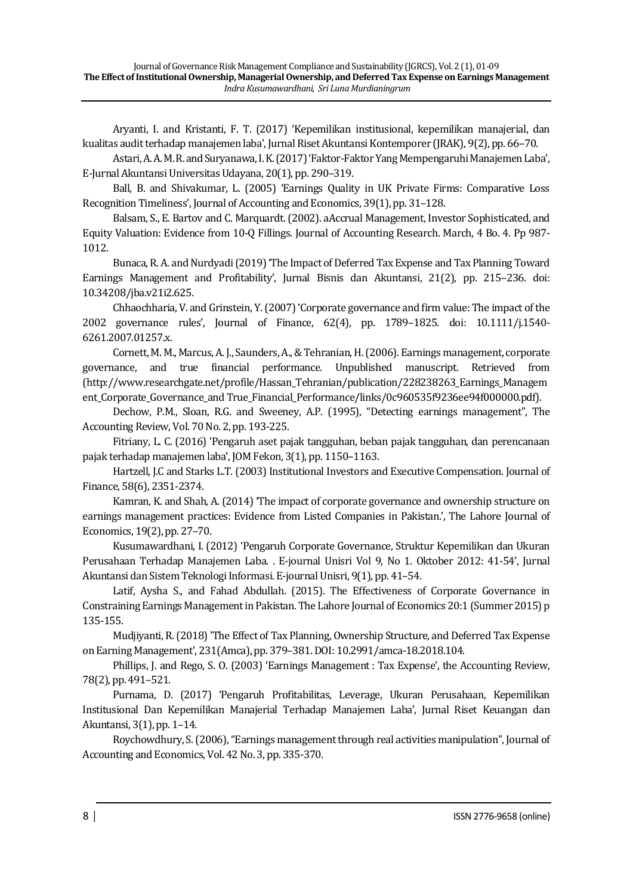Aryanti, I. and Kristanti, F. T. (2017) 'Kepemilikan institusional, kepemilikan manajerial, dan kualitas audit terhadap manajemen laba', Jurnal Riset Akuntansi Kontemporer (JRAK), 9(2), pp. 66–70.

Astari, A. A. M. R. and Suryanawa, I. K. (2017) 'Faktor-Faktor Yang Mempengaruhi Manajemen Laba', E-Jurnal Akuntansi Universitas Udayana, 20(1), pp. 290–319.

Ball, B. and Shivakumar, L. (2005) 'Earnings Quality in UK Private Firms: Comparative Loss Recognition Timeliness', Journal of Accounting and Economics, 39(1), pp. 31–128.

Balsam, S., E. Bartov and C. Marquardt. (2002). aAccrual Management, Investor Sophisticated, and Equity Valuation: Evidence from 10-Q Fillings. Journal of Accounting Research. March, 4 Bo. 4. Pp 987- 1012.

Bunaca, R. A. and Nurdyadi (2019) 'The Impact of Deferred Tax Expense and Tax Planning Toward Earnings Management and Profitability', Jurnal Bisnis dan Akuntansi, 21(2), pp. 215–236. doi: 10.34208/jba.v21i2.625.

Chhaochharia, V. and Grinstein, Y. (2007) 'Corporate governance and firm value: The impact of the 2002 governance rules', Journal of Finance, 62(4), pp. 1789–1825. doi: 10.1111/j.1540- 6261.2007.01257.x.

Cornett, M. M., Marcus, A. J., Saunders, A., & Tehranian, H. (2006). Earnings management, corporate governance, and true financial performance. Unpublished manuscript. Retrieved from (http://www.researchgate.net/profile/Hassan\_Tehranian/publication/228238263\_Earnings\_Managem ent\_Corporate\_Governance\_and True\_Financial\_Performance/links/0c960535f9236ee94f000000.pdf).

Dechow, P.M., Sloan, R.G. and Sweeney, A.P. (1995), "Detecting earnings management", The Accounting Review, Vol. 70 No. 2, pp. 193-225.

Fitriany, L. C. (2016) 'Pengaruh aset pajak tangguhan, beban pajak tangguhan, dan perencanaan pajak terhadap manajemen laba', JOM Fekon, 3(1), pp. 1150–1163.

Hartzell, J.C and Starks L.T. (2003) Institutional Investors and Executive Compensation. Journal of Finance, 58(6), 2351-2374.

Kamran, K. and Shah, A. (2014) 'The impact of corporate governance and ownership structure on earnings management practices: Evidence from Listed Companies in Pakistan.', The Lahore Journal of Economics, 19(2), pp. 27–70.

Kusumawardhani, I. (2012) 'Pengaruh Corporate Governance, Struktur Kepemilikan dan Ukuran Perusahaan Terhadap Manajemen Laba. . E-journal Unisri Vol 9, No 1. Oktober 2012: 41-54', Jurnal Akuntansi dan Sistem Teknologi Informasi. E-journal Unisri, 9(1), pp. 41–54.

Latif, Aysha S., and Fahad Abdullah. (2015). The Effectiveness of Corporate Governance in Constraining Earnings Management in Pakistan. The Lahore Journal of Economics 20:1 (Summer 2015) p 135-155.

Mudjiyanti, R. (2018) 'The Effect of Tax Planning, Ownership Structure, and Deferred Tax Expense on Earning Management', 231(Amca), pp. 379–381. DOI: 10.2991/amca-18.2018.104.

Phillips, J. and Rego, S. O. (2003) 'Earnings Management : Tax Expense', the Accounting Review, 78(2), pp. 491–521.

Purnama, D. (2017) 'Pengaruh Profitabilitas, Leverage, Ukuran Perusahaan, Kepemilikan Institusional Dan Kepemilikan Manajerial Terhadap Manajemen Laba', Jurnal Riset Keuangan dan Akuntansi, 3(1), pp. 1–14.

Roychowdhury, S. (2006), "Earnings management through real activities manipulation", Journal of Accounting and Economics, Vol. 42 No. 3, pp. 335-370.